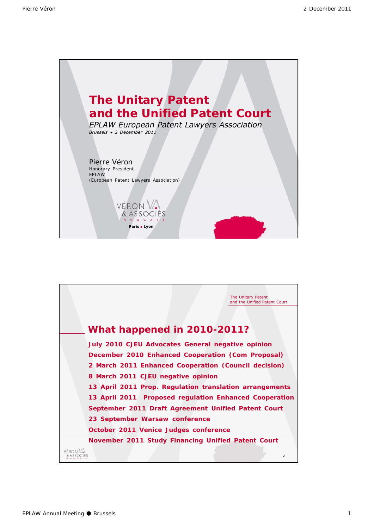

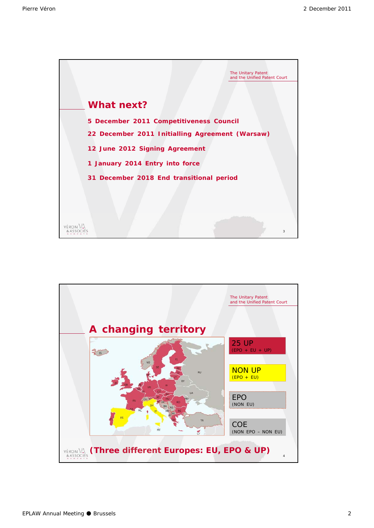

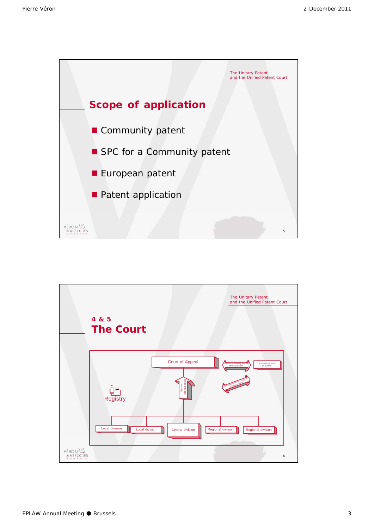

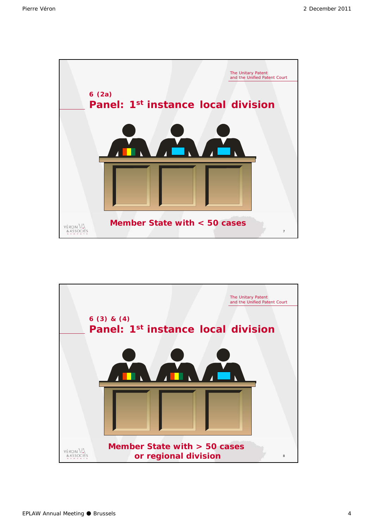

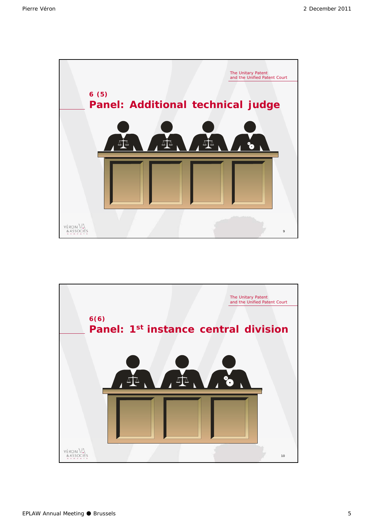

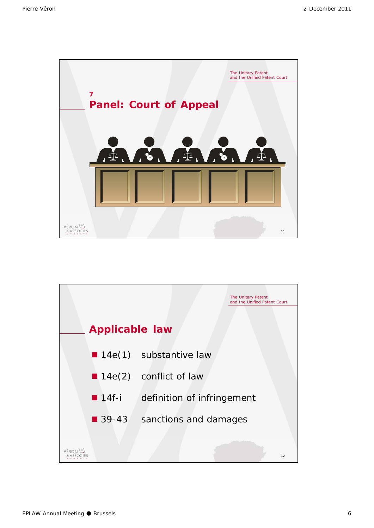

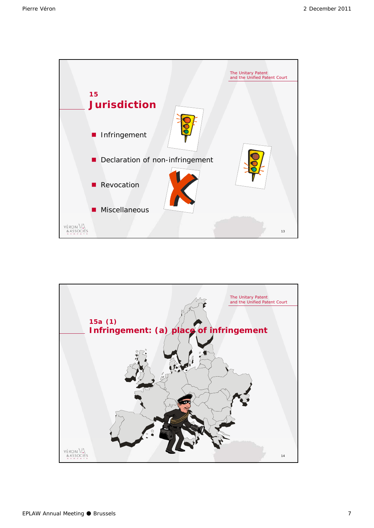

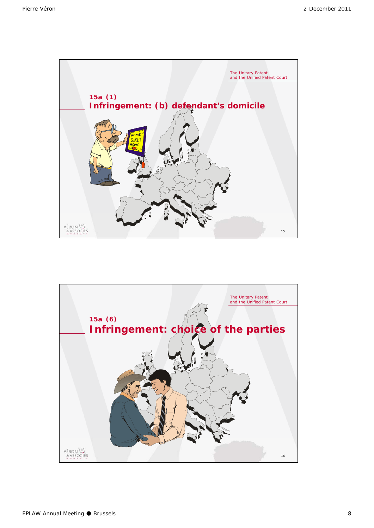

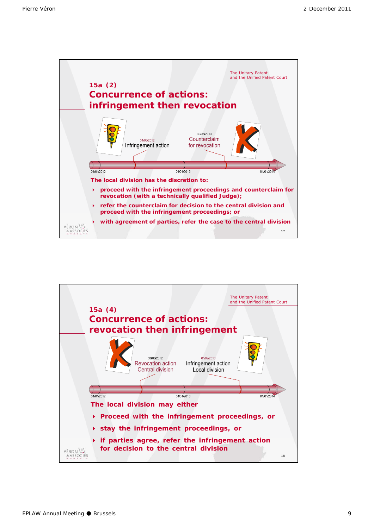

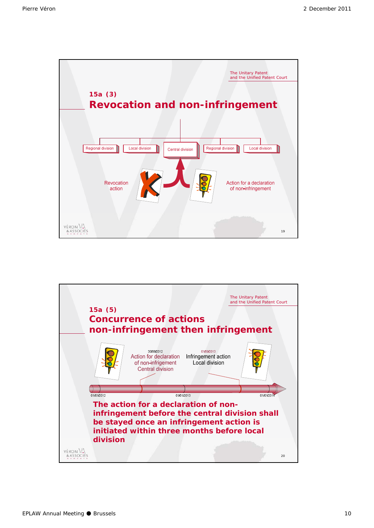

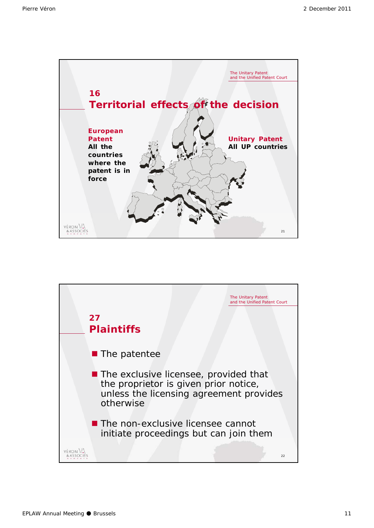

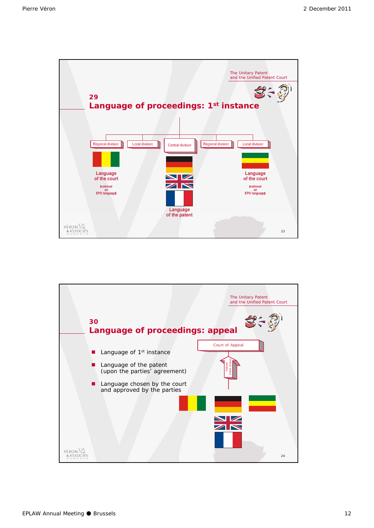

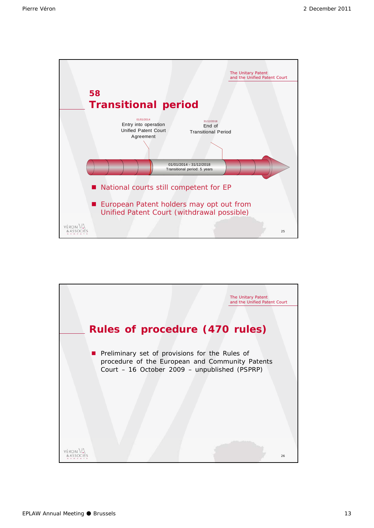

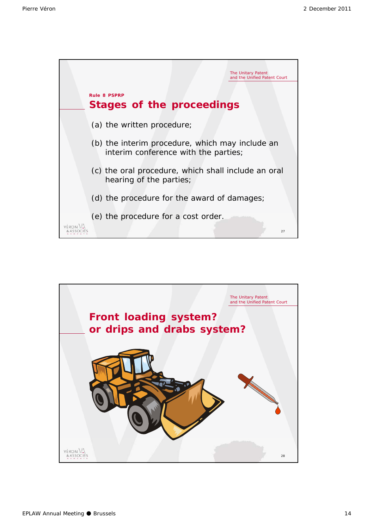

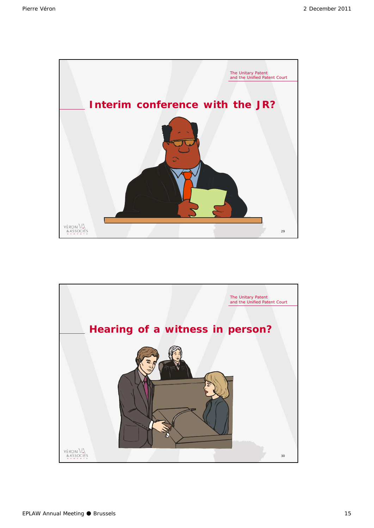

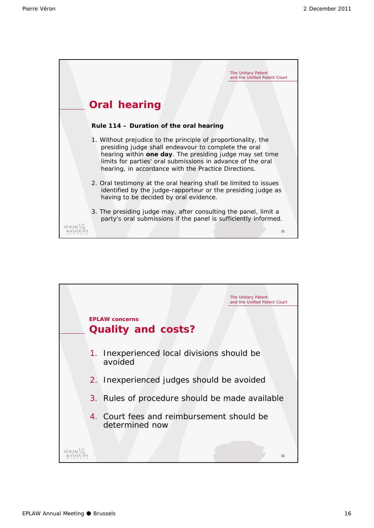

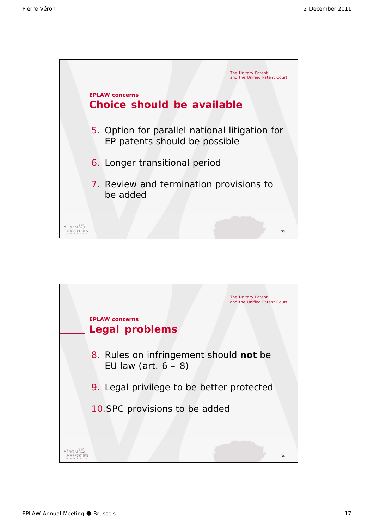